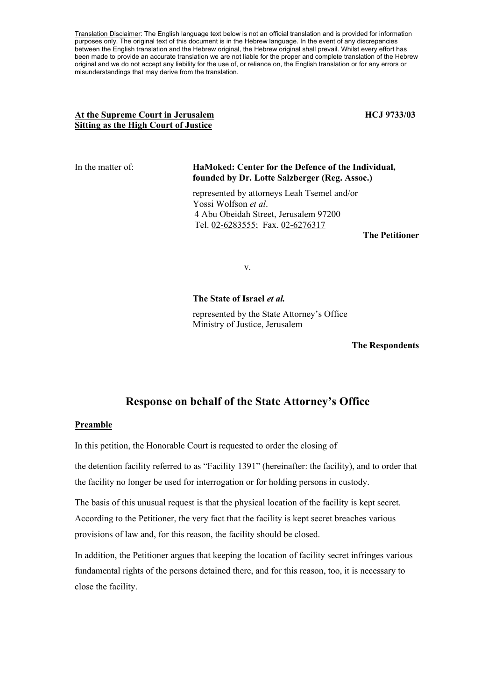Translation Disclaimer: The English language text below is not an official translation and is provided for information purposes only. The original text of this document is in the Hebrew language. In the event of any discrepancies between the English translation and the Hebrew original, the Hebrew original shall prevail. Whilst every effort has been made to provide an accurate translation we are not liable for the proper and complete translation of the Hebrew original and we do not accept any liability for the use of, or reliance on, the English translation or for any errors or misunderstandings that may derive from the translation.

### At the Supreme Court in Jerusalem **HCJ 9733/03 Sitting as the High Court of Justice**

#### In the matter of: **HaMoked: Center for the Defence of the Individual, founded by Dr. Lotte Salzberger (Reg. Assoc.)**

represented by attorneys Leah Tsemel and/or Yossi Wolfson *et al*. 4 Abu Obeidah Street, Jerusalem 97200 Tel. 02-6283555; Fax. 02-6276317

**The Petitioner** 

v.

#### **The State of Israel** *et al.*

represented by the State Attorney's Office Ministry of Justice, Jerusalem

**The Respondents** 

## **Response on behalf of the State Attorney's Office**

#### **Preamble**

In this petition, the Honorable Court is requested to order the closing of

the detention facility referred to as "Facility 1391" (hereinafter: the facility), and to order that the facility no longer be used for interrogation or for holding persons in custody.

The basis of this unusual request is that the physical location of the facility is kept secret. According to the Petitioner, the very fact that the facility is kept secret breaches various provisions of law and, for this reason, the facility should be closed.

In addition, the Petitioner argues that keeping the location of facility secret infringes various fundamental rights of the persons detained there, and for this reason, too, it is necessary to close the facility.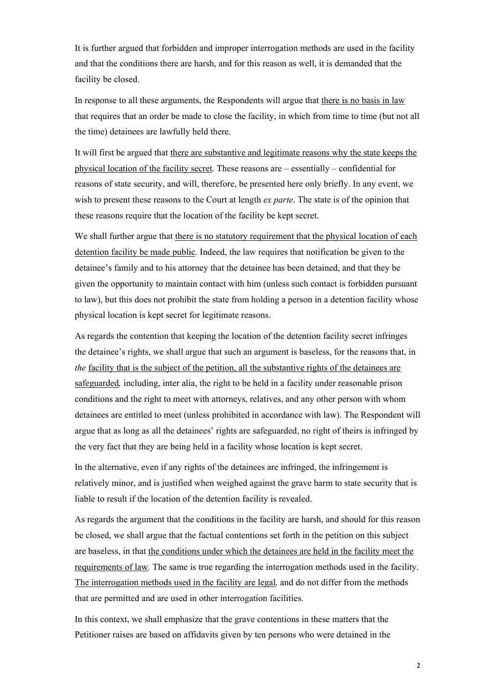It is further argued that forbidden and improper interrogation methods are used in the facility and that the conditions there are harsh, and for this reason as well, it is demanded that the facility be closed.

In response to all these arguments, the Respondents will argue that there is no basis in law that requires that an order be made to close the facility, in which from time to time (but not all the time) detainees are lawfully held there.

It will first be argued that there are substantive and legitimate reasons why the state keeps the physical location of the facility secret*.* These reasons are – essentially – confidential for reasons of state security, and will, therefore, be presented here only briefly. In any event, we wish to present these reasons to the Court at length *ex parte*. The state is of the opinion that these reasons require that the location of the facility be kept secret.

We shall further argue that there is no statutory requirement that the physical location of each detention facility be made public*.* Indeed, the law requires that notification be given to the detainee's family and to his attorney that the detainee has been detained, and that they be given the opportunity to maintain contact with him (unless such contact is forbidden pursuant to law), but this does not prohibit the state from holding a person in a detention facility whose physical location is kept secret for legitimate reasons.

As regards the contention that keeping the location of the detention facility secret infringes the detainee's rights, we shall argue that such an argument is baseless, for the reasons that, in *the* facility that is the subject of the petition, all the substantive rights of the detainees are safeguarded*,* including, inter alia, the right to be held in a facility under reasonable prison conditions and the right to meet with attorneys, relatives, and any other person with whom detainees are entitled to meet (unless prohibited in accordance with law). The Respondent will argue that as long as all the detainees' rights are safeguarded, no right of theirs is infringed by the very fact that they are being held in a facility whose location is kept secret.

In the alternative, even if any rights of the detainees are infringed, the infringement is relatively minor, and is justified when weighed against the grave harm to state security that is liable to result if the location of the detention facility is revealed.

As regards the argument that the conditions in the facility are harsh, and should for this reason be closed, we shall argue that the factual contentions set forth in the petition on this subject are baseless, in that the conditions under which the detainees are held in the facility meet the requirements of law*.* The same is true regarding the interrogation methods used in the facility. The interrogation methods used in the facility are legal*,* and do not differ from the methods that are permitted and are used in other interrogation facilities.

In this context, we shall emphasize that the grave contentions in these matters that the Petitioner raises are based on affidavits given by ten persons who were detained in the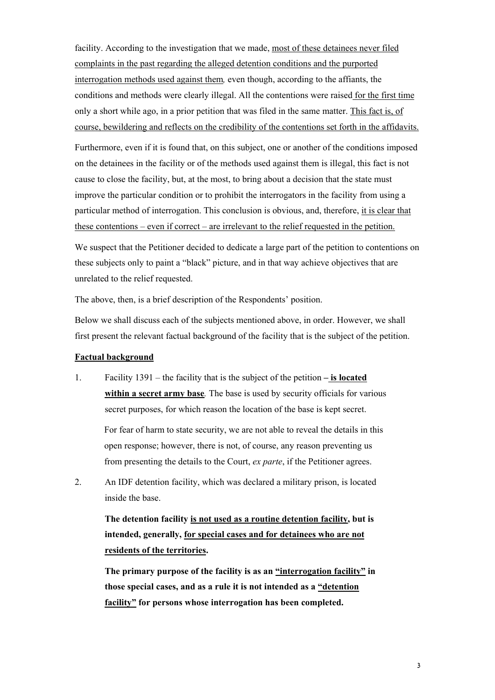facility. According to the investigation that we made, most of these detainees never filed complaints in the past regarding the alleged detention conditions and the purported interrogation methods used against them*,* even though, according to the affiants, the conditions and methods were clearly illegal. All the contentions were raised for the first time only a short while ago, in a prior petition that was filed in the same matter. This fact is, of course, bewildering and reflects on the credibility of the contentions set forth in the affidavits.

Furthermore, even if it is found that, on this subject, one or another of the conditions imposed on the detainees in the facility or of the methods used against them is illegal, this fact is not cause to close the facility, but, at the most, to bring about a decision that the state must improve the particular condition or to prohibit the interrogators in the facility from using a particular method of interrogation. This conclusion is obvious, and, therefore, it is clear that these contentions – even if correct – are irrelevant to the relief requested in the petition.

We suspect that the Petitioner decided to dedicate a large part of the petition to contentions on these subjects only to paint a "black" picture, and in that way achieve objectives that are unrelated to the relief requested.

The above, then, is a brief description of the Respondents' position.

Below we shall discuss each of the subjects mentioned above, in order. However, we shall first present the relevant factual background of the facility that is the subject of the petition.

#### **Factual background**

1. Facility 1391 – the facility that is the subject of the petition **– is located within a secret army base***.* The base is used by security officials for various secret purposes, for which reason the location of the base is kept secret.

For fear of harm to state security, we are not able to reveal the details in this open response; however, there is not, of course, any reason preventing us from presenting the details to the Court, *ex parte*, if the Petitioner agrees.

2. An IDF detention facility, which was declared a military prison, is located inside the base.

**The detention facility is not used as a routine detention facility, but is intended, generally, for special cases and for detainees who are not residents of the territories.** 

**The primary purpose of the facility is as an "interrogation facility" in those special cases, and as a rule it is not intended as a "detention facility" for persons whose interrogation has been completed.**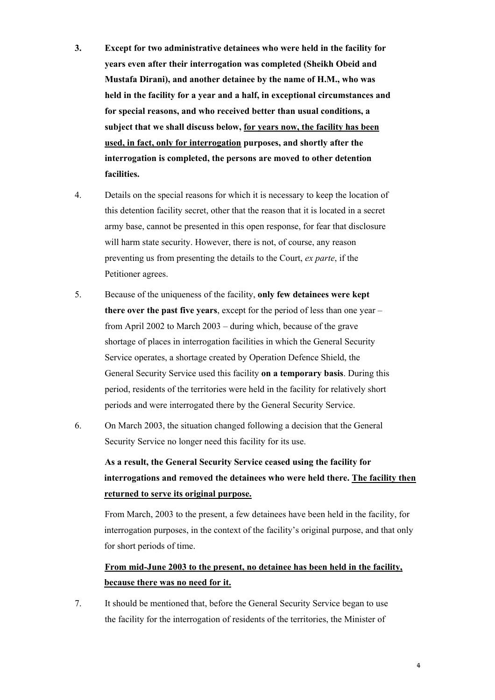- **3. Except for two administrative detainees who were held in the facility for years even after their interrogation was completed (Sheikh Obeid and Mustafa Dirani), and another detainee by the name of H.M., who was held in the facility for a year and a half, in exceptional circumstances and for special reasons, and who received better than usual conditions, a subject that we shall discuss below, for years now, the facility has been used, in fact, only for interrogation purposes, and shortly after the interrogation is completed, the persons are moved to other detention facilities.**
- 4. Details on the special reasons for which it is necessary to keep the location of this detention facility secret, other that the reason that it is located in a secret army base, cannot be presented in this open response, for fear that disclosure will harm state security. However, there is not, of course, any reason preventing us from presenting the details to the Court, *ex parte*, if the Petitioner agrees.
- 5. Because of the uniqueness of the facility, **only few detainees were kept there over the past five years**, except for the period of less than one year – from April 2002 to March 2003 – during which, because of the grave shortage of places in interrogation facilities in which the General Security Service operates, a shortage created by Operation Defence Shield, the General Security Service used this facility **on a temporary basis**. During this period, residents of the territories were held in the facility for relatively short periods and were interrogated there by the General Security Service.
- 6. On March 2003, the situation changed following a decision that the General Security Service no longer need this facility for its use.

# **As a result, the General Security Service ceased using the facility for interrogations and removed the detainees who were held there. The facility then returned to serve its original purpose.**

From March, 2003 to the present, a few detainees have been held in the facility, for interrogation purposes, in the context of the facility's original purpose, and that only for short periods of time.

## **From mid-June 2003 to the present, no detainee has been held in the facility, because there was no need for it.**

7. It should be mentioned that, before the General Security Service began to use the facility for the interrogation of residents of the territories, the Minister of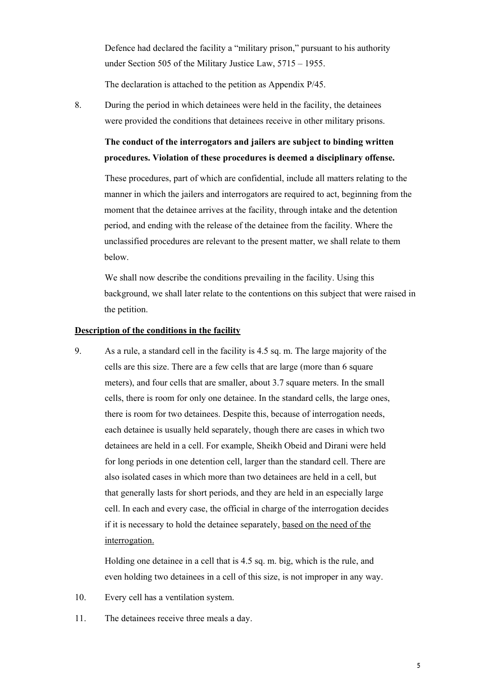Defence had declared the facility a "military prison," pursuant to his authority under Section 505 of the Military Justice Law, 5715 – 1955.

The declaration is attached to the petition as Appendix P/45.

8. During the period in which detainees were held in the facility, the detainees were provided the conditions that detainees receive in other military prisons.

**The conduct of the interrogators and jailers are subject to binding written procedures. Violation of these procedures is deemed a disciplinary offense.** 

These procedures, part of which are confidential, include all matters relating to the manner in which the jailers and interrogators are required to act, beginning from the moment that the detainee arrives at the facility, through intake and the detention period, and ending with the release of the detainee from the facility. Where the unclassified procedures are relevant to the present matter, we shall relate to them below.

We shall now describe the conditions prevailing in the facility. Using this background, we shall later relate to the contentions on this subject that were raised in the petition.

#### **Description of the conditions in the facility**

9. As a rule, a standard cell in the facility is 4.5 sq. m. The large majority of the cells are this size. There are a few cells that are large (more than 6 square meters), and four cells that are smaller, about 3.7 square meters. In the small cells, there is room for only one detainee. In the standard cells, the large ones, there is room for two detainees. Despite this, because of interrogation needs, each detainee is usually held separately, though there are cases in which two detainees are held in a cell. For example, Sheikh Obeid and Dirani were held for long periods in one detention cell, larger than the standard cell. There are also isolated cases in which more than two detainees are held in a cell, but that generally lasts for short periods, and they are held in an especially large cell. In each and every case, the official in charge of the interrogation decides if it is necessary to hold the detainee separately, based on the need of the interrogation.

Holding one detainee in a cell that is 4.5 sq. m. big, which is the rule, and even holding two detainees in a cell of this size, is not improper in any way.

- 10. Every cell has a ventilation system.
- 11. The detainees receive three meals a day.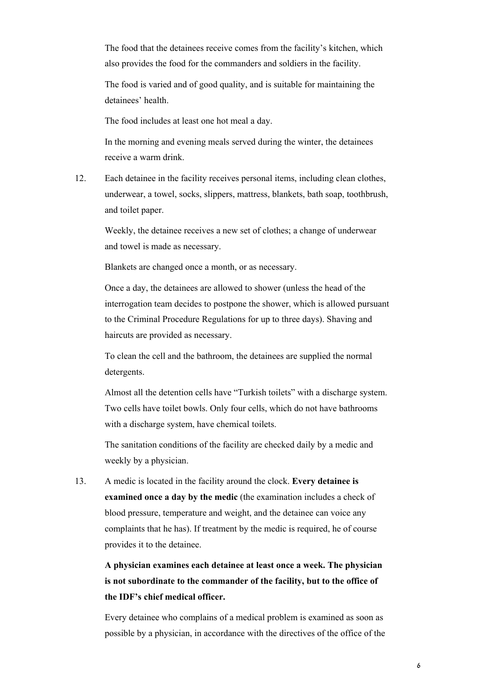The food that the detainees receive comes from the facility's kitchen, which also provides the food for the commanders and soldiers in the facility.

The food is varied and of good quality, and is suitable for maintaining the detainees' health.

The food includes at least one hot meal a day.

In the morning and evening meals served during the winter, the detainees receive a warm drink.

12. Each detainee in the facility receives personal items, including clean clothes, underwear, a towel, socks, slippers, mattress, blankets, bath soap, toothbrush, and toilet paper.

Weekly, the detainee receives a new set of clothes; a change of underwear and towel is made as necessary.

Blankets are changed once a month, or as necessary.

Once a day, the detainees are allowed to shower (unless the head of the interrogation team decides to postpone the shower, which is allowed pursuant to the Criminal Procedure Regulations for up to three days). Shaving and haircuts are provided as necessary.

To clean the cell and the bathroom, the detainees are supplied the normal detergents.

Almost all the detention cells have "Turkish toilets" with a discharge system. Two cells have toilet bowls. Only four cells, which do not have bathrooms with a discharge system, have chemical toilets.

The sanitation conditions of the facility are checked daily by a medic and weekly by a physician.

13. A medic is located in the facility around the clock. **Every detainee is examined once a day by the medic** (the examination includes a check of blood pressure, temperature and weight, and the detainee can voice any complaints that he has). If treatment by the medic is required, he of course provides it to the detainee.

# **A physician examines each detainee at least once a week. The physician is not subordinate to the commander of the facility, but to the office of the IDF's chief medical officer.**

Every detainee who complains of a medical problem is examined as soon as possible by a physician, in accordance with the directives of the office of the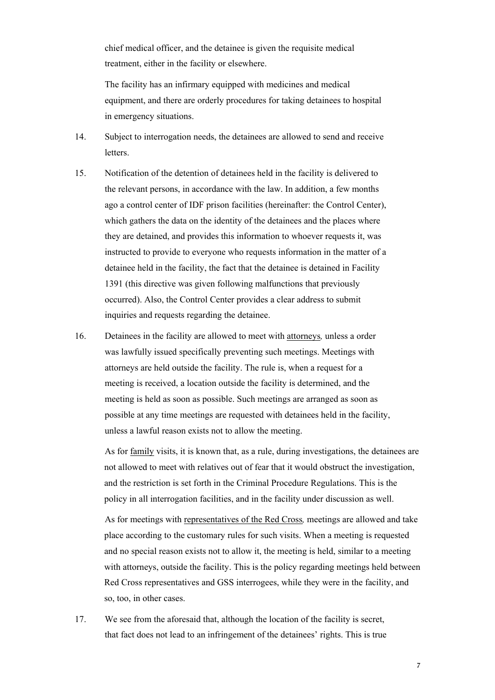chief medical officer, and the detainee is given the requisite medical treatment, either in the facility or elsewhere.

The facility has an infirmary equipped with medicines and medical equipment, and there are orderly procedures for taking detainees to hospital in emergency situations.

- 14. Subject to interrogation needs, the detainees are allowed to send and receive letters.
- 15. Notification of the detention of detainees held in the facility is delivered to the relevant persons, in accordance with the law. In addition, a few months ago a control center of IDF prison facilities (hereinafter: the Control Center), which gathers the data on the identity of the detainees and the places where they are detained, and provides this information to whoever requests it, was instructed to provide to everyone who requests information in the matter of a detainee held in the facility, the fact that the detainee is detained in Facility 1391 (this directive was given following malfunctions that previously occurred). Also, the Control Center provides a clear address to submit inquiries and requests regarding the detainee.
- 16. Detainees in the facility are allowed to meet with attorneys*,* unless a order was lawfully issued specifically preventing such meetings. Meetings with attorneys are held outside the facility. The rule is, when a request for a meeting is received, a location outside the facility is determined, and the meeting is held as soon as possible. Such meetings are arranged as soon as possible at any time meetings are requested with detainees held in the facility, unless a lawful reason exists not to allow the meeting.

As for family visits, it is known that, as a rule, during investigations, the detainees are not allowed to meet with relatives out of fear that it would obstruct the investigation, and the restriction is set forth in the Criminal Procedure Regulations. This is the policy in all interrogation facilities, and in the facility under discussion as well.

As for meetings with representatives of the Red Cross*,* meetings are allowed and take place according to the customary rules for such visits. When a meeting is requested and no special reason exists not to allow it, the meeting is held, similar to a meeting with attorneys, outside the facility. This is the policy regarding meetings held between Red Cross representatives and GSS interrogees, while they were in the facility, and so, too, in other cases.

17. We see from the aforesaid that, although the location of the facility is secret, that fact does not lead to an infringement of the detainees' rights. This is true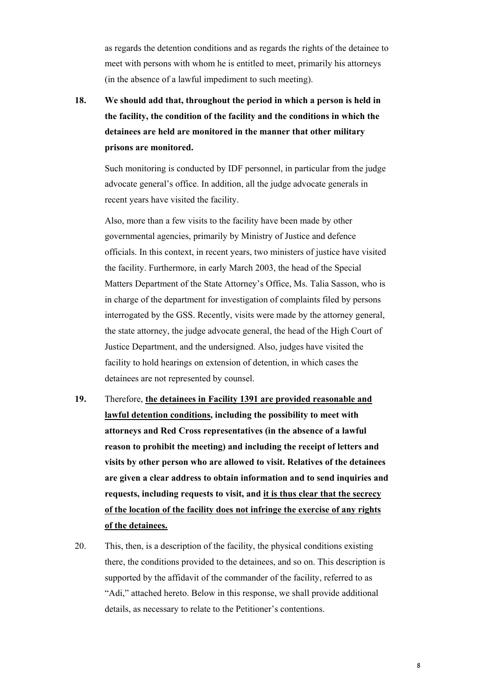as regards the detention conditions and as regards the rights of the detainee to meet with persons with whom he is entitled to meet, primarily his attorneys (in the absence of a lawful impediment to such meeting).

**18. We should add that, throughout the period in which a person is held in the facility, the condition of the facility and the conditions in which the detainees are held are monitored in the manner that other military prisons are monitored.** 

Such monitoring is conducted by IDF personnel, in particular from the judge advocate general's office. In addition, all the judge advocate generals in recent years have visited the facility.

Also, more than a few visits to the facility have been made by other governmental agencies, primarily by Ministry of Justice and defence officials. In this context, in recent years, two ministers of justice have visited the facility. Furthermore, in early March 2003, the head of the Special Matters Department of the State Attorney's Office, Ms. Talia Sasson, who is in charge of the department for investigation of complaints filed by persons interrogated by the GSS. Recently, visits were made by the attorney general, the state attorney, the judge advocate general, the head of the High Court of Justice Department, and the undersigned. Also, judges have visited the facility to hold hearings on extension of detention, in which cases the detainees are not represented by counsel.

- **19.** Therefore, **the detainees in Facility 1391 are provided reasonable and lawful detention conditions, including the possibility to meet with attorneys and Red Cross representatives (in the absence of a lawful reason to prohibit the meeting) and including the receipt of letters and visits by other person who are allowed to visit. Relatives of the detainees are given a clear address to obtain information and to send inquiries and requests, including requests to visit, and it is thus clear that the secrecy of the location of the facility does not infringe the exercise of any rights of the detainees.**
- 20. This, then, is a description of the facility, the physical conditions existing there, the conditions provided to the detainees, and so on. This description is supported by the affidavit of the commander of the facility, referred to as "Adi," attached hereto. Below in this response, we shall provide additional details, as necessary to relate to the Petitioner's contentions.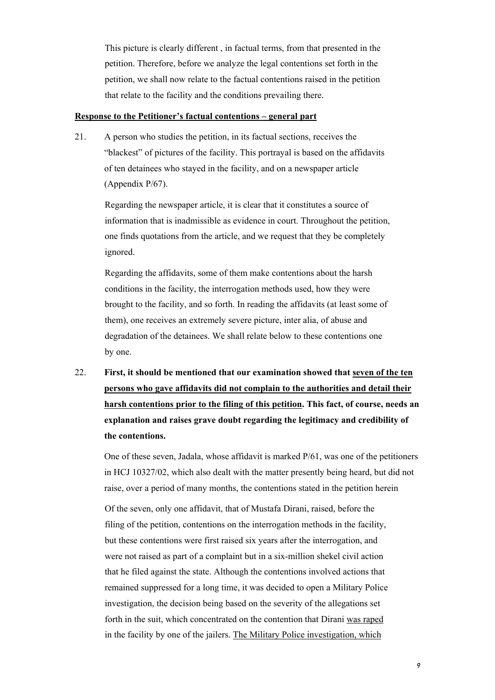This picture is clearly different , in factual terms, from that presented in the petition. Therefore, before we analyze the legal contentions set forth in the petition, we shall now relate to the factual contentions raised in the petition that relate to the facility and the conditions prevailing there.

#### **Response to the Petitioner's factual contentions – general part**

21. A person who studies the petition, in its factual sections, receives the "blackest" of pictures of the facility. This portrayal is based on the affidavits of ten detainees who stayed in the facility, and on a newspaper article (Appendix P/67).

Regarding the newspaper article, it is clear that it constitutes a source of information that is inadmissible as evidence in court. Throughout the petition, one finds quotations from the article, and we request that they be completely ignored.

Regarding the affidavits, some of them make contentions about the harsh conditions in the facility, the interrogation methods used, how they were brought to the facility, and so forth. In reading the affidavits (at least some of them), one receives an extremely severe picture, inter alia, of abuse and degradation of the detainees. We shall relate below to these contentions one by one.

22. **First, it should be mentioned that our examination showed that seven of the ten persons who gave affidavits did not complain to the authorities and detail their harsh contentions prior to the filing of this petition. This fact, of course, needs an explanation and raises grave doubt regarding the legitimacy and credibility of the contentions.** 

One of these seven, Jadala, whose affidavit is marked P/61, was one of the petitioners in HCJ 10327/02, which also dealt with the matter presently being heard, but did not raise, over a period of many months, the contentions stated in the petition herein

Of the seven, only one affidavit, that of Mustafa Dirani, raised, before the filing of the petition, contentions on the interrogation methods in the facility, but these contentions were first raised six years after the interrogation, and were not raised as part of a complaint but in a six-million shekel civil action that he filed against the state. Although the contentions involved actions that remained suppressed for a long time, it was decided to open a Military Police investigation, the decision being based on the severity of the allegations set forth in the suit, which concentrated on the contention that Dirani was raped in the facility by one of the jailers. The Military Police investigation, which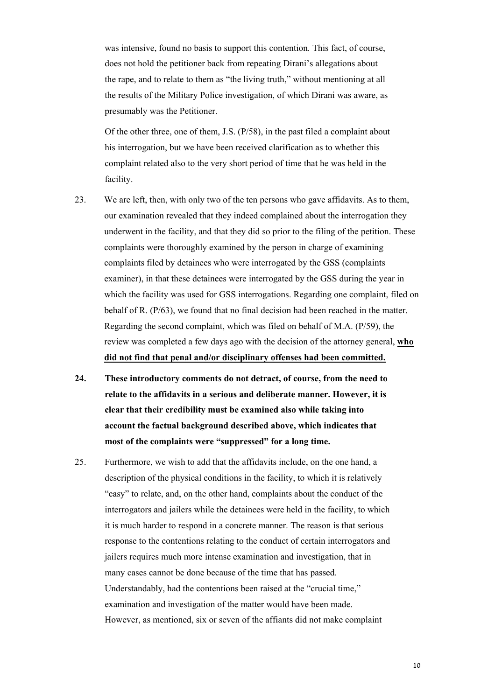was intensive, found no basis to support this contention*.* This fact, of course, does not hold the petitioner back from repeating Dirani's allegations about the rape, and to relate to them as "the living truth," without mentioning at all the results of the Military Police investigation, of which Dirani was aware, as presumably was the Petitioner.

Of the other three, one of them, J.S. (P/58), in the past filed a complaint about his interrogation, but we have been received clarification as to whether this complaint related also to the very short period of time that he was held in the facility.

- 23. We are left, then, with only two of the ten persons who gave affidavits. As to them, our examination revealed that they indeed complained about the interrogation they underwent in the facility, and that they did so prior to the filing of the petition. These complaints were thoroughly examined by the person in charge of examining complaints filed by detainees who were interrogated by the GSS (complaints examiner), in that these detainees were interrogated by the GSS during the year in which the facility was used for GSS interrogations. Regarding one complaint, filed on behalf of R. (P/63), we found that no final decision had been reached in the matter. Regarding the second complaint, which was filed on behalf of M.A. (P/59), the review was completed a few days ago with the decision of the attorney general, **who did not find that penal and/or disciplinary offenses had been committed.**
- **24. These introductory comments do not detract, of course, from the need to relate to the affidavits in a serious and deliberate manner. However, it is clear that their credibility must be examined also while taking into account the factual background described above, which indicates that most of the complaints were "suppressed" for a long time.**
- 25. Furthermore, we wish to add that the affidavits include, on the one hand, a description of the physical conditions in the facility, to which it is relatively "easy" to relate, and, on the other hand, complaints about the conduct of the interrogators and jailers while the detainees were held in the facility, to which it is much harder to respond in a concrete manner. The reason is that serious response to the contentions relating to the conduct of certain interrogators and jailers requires much more intense examination and investigation, that in many cases cannot be done because of the time that has passed. Understandably, had the contentions been raised at the "crucial time," examination and investigation of the matter would have been made. However, as mentioned, six or seven of the affiants did not make complaint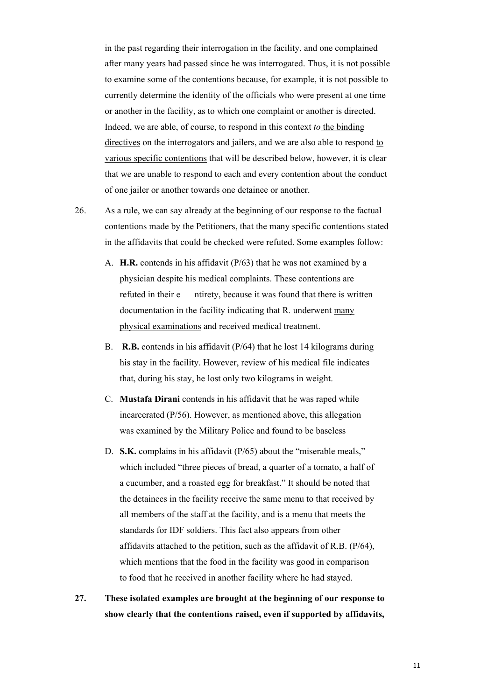in the past regarding their interrogation in the facility, and one complained after many years had passed since he was interrogated. Thus, it is not possible to examine some of the contentions because, for example, it is not possible to currently determine the identity of the officials who were present at one time or another in the facility, as to which one complaint or another is directed. Indeed, we are able, of course, to respond in this context *to* the binding directives on the interrogators and jailers, and we are also able to respond to various specific contentions that will be described below, however, it is clear that we are unable to respond to each and every contention about the conduct of one jailer or another towards one detainee or another.

- 26. As a rule, we can say already at the beginning of our response to the factual contentions made by the Petitioners, that the many specific contentions stated in the affidavits that could be checked were refuted. Some examples follow:
	- A. **H.R.** contends in his affidavit (P/63) that he was not examined by a physician despite his medical complaints. These contentions are refuted in their e ntirety, because it was found that there is written documentation in the facility indicating that R. underwent many physical examinations and received medical treatment.
	- B. **R.B.** contends in his affidavit (P/64) that he lost 14 kilograms during his stay in the facility. However, review of his medical file indicates that, during his stay, he lost only two kilograms in weight.
	- C. **Mustafa Dirani** contends in his affidavit that he was raped while incarcerated (P/56). However, as mentioned above, this allegation was examined by the Military Police and found to be baseless
	- D. **S.K.** complains in his affidavit (P/65) about the "miserable meals," which included "three pieces of bread, a quarter of a tomato, a half of a cucumber, and a roasted egg for breakfast." It should be noted that the detainees in the facility receive the same menu to that received by all members of the staff at the facility, and is a menu that meets the standards for IDF soldiers. This fact also appears from other affidavits attached to the petition, such as the affidavit of R.B. (P/64), which mentions that the food in the facility was good in comparison to food that he received in another facility where he had stayed.
- **27. These isolated examples are brought at the beginning of our response to show clearly that the contentions raised, even if supported by affidavits,**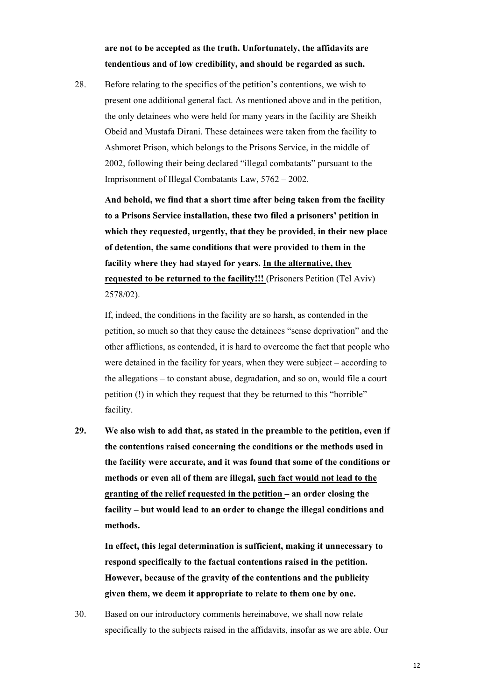**are not to be accepted as the truth. Unfortunately, the affidavits are tendentious and of low credibility, and should be regarded as such.** 

28. Before relating to the specifics of the petition's contentions, we wish to present one additional general fact. As mentioned above and in the petition, the only detainees who were held for many years in the facility are Sheikh Obeid and Mustafa Dirani. These detainees were taken from the facility to Ashmoret Prison, which belongs to the Prisons Service, in the middle of 2002, following their being declared "illegal combatants" pursuant to the Imprisonment of Illegal Combatants Law, 5762 – 2002.

**And behold, we find that a short time after being taken from the facility to a Prisons Service installation, these two filed a prisoners' petition in which they requested, urgently, that they be provided, in their new place of detention, the same conditions that were provided to them in the facility where they had stayed for years. In the alternative, they requested to be returned to the facility!!!** (Prisoners Petition (Tel Aviv) 2578/02).

If, indeed, the conditions in the facility are so harsh, as contended in the petition, so much so that they cause the detainees "sense deprivation" and the other afflictions, as contended, it is hard to overcome the fact that people who were detained in the facility for years, when they were subject – according to the allegations – to constant abuse, degradation, and so on, would file a court petition (!) in which they request that they be returned to this "horrible" facility.

**29. We also wish to add that, as stated in the preamble to the petition, even if the contentions raised concerning the conditions or the methods used in the facility were accurate, and it was found that some of the conditions or methods or even all of them are illegal, such fact would not lead to the granting of the relief requested in the petition – an order closing the facility – but would lead to an order to change the illegal conditions and methods.** 

**In effect, this legal determination is sufficient, making it unnecessary to respond specifically to the factual contentions raised in the petition. However, because of the gravity of the contentions and the publicity given them, we deem it appropriate to relate to them one by one.** 

30. Based on our introductory comments hereinabove, we shall now relate specifically to the subjects raised in the affidavits, insofar as we are able. Our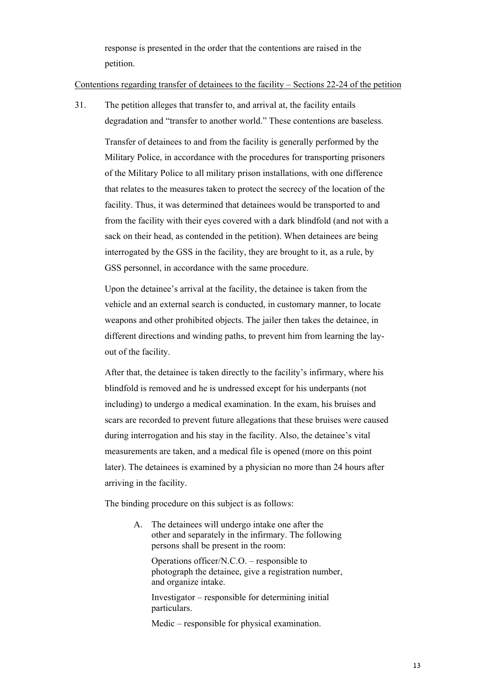response is presented in the order that the contentions are raised in the petition.

#### Contentions regarding transfer of detainees to the facility – Sections 22-24 of the petition

31. The petition alleges that transfer to, and arrival at, the facility entails degradation and "transfer to another world." These contentions are baseless.

Transfer of detainees to and from the facility is generally performed by the Military Police, in accordance with the procedures for transporting prisoners of the Military Police to all military prison installations, with one difference that relates to the measures taken to protect the secrecy of the location of the facility. Thus, it was determined that detainees would be transported to and from the facility with their eyes covered with a dark blindfold (and not with a sack on their head, as contended in the petition). When detainees are being interrogated by the GSS in the facility, they are brought to it, as a rule, by GSS personnel, in accordance with the same procedure.

Upon the detainee's arrival at the facility, the detainee is taken from the vehicle and an external search is conducted, in customary manner, to locate weapons and other prohibited objects. The jailer then takes the detainee, in different directions and winding paths, to prevent him from learning the layout of the facility.

After that, the detainee is taken directly to the facility's infirmary, where his blindfold is removed and he is undressed except for his underpants (not including) to undergo a medical examination. In the exam, his bruises and scars are recorded to prevent future allegations that these bruises were caused during interrogation and his stay in the facility. Also, the detainee's vital measurements are taken, and a medical file is opened (more on this point later). The detainees is examined by a physician no more than 24 hours after arriving in the facility.

The binding procedure on this subject is as follows:

A. The detainees will undergo intake one after the other and separately in the infirmary. The following persons shall be present in the room:

Operations officer/N.C.O. – responsible to photograph the detainee, give a registration number, and organize intake.

Investigator – responsible for determining initial particulars.

Medic – responsible for physical examination.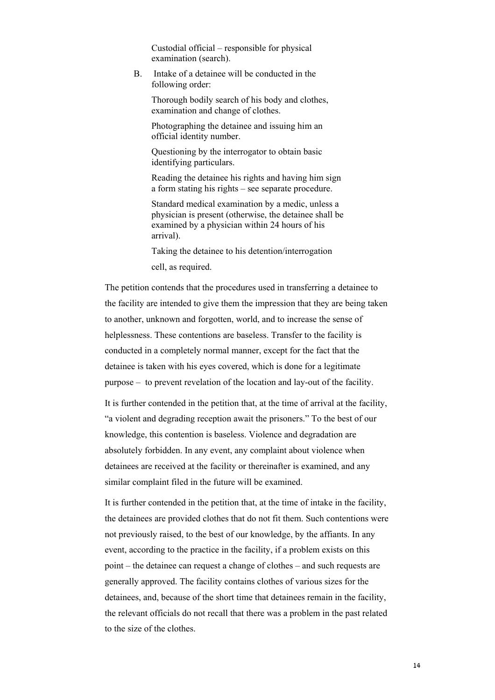Custodial official – responsible for physical examination (search).

B. Intake of a detainee will be conducted in the following order:

Thorough bodily search of his body and clothes, examination and change of clothes.

Photographing the detainee and issuing him an official identity number.

Questioning by the interrogator to obtain basic identifying particulars.

Reading the detainee his rights and having him sign a form stating his rights – see separate procedure.

Standard medical examination by a medic, unless a physician is present (otherwise, the detainee shall be examined by a physician within 24 hours of his arrival).

Taking the detainee to his detention/interrogation cell, as required.

The petition contends that the procedures used in transferring a detainee to the facility are intended to give them the impression that they are being taken to another, unknown and forgotten, world, and to increase the sense of helplessness. These contentions are baseless. Transfer to the facility is conducted in a completely normal manner, except for the fact that the detainee is taken with his eyes covered, which is done for a legitimate purpose – to prevent revelation of the location and lay-out of the facility.

It is further contended in the petition that, at the time of arrival at the facility, "a violent and degrading reception await the prisoners." To the best of our knowledge, this contention is baseless. Violence and degradation are absolutely forbidden. In any event, any complaint about violence when detainees are received at the facility or thereinafter is examined, and any similar complaint filed in the future will be examined.

It is further contended in the petition that, at the time of intake in the facility, the detainees are provided clothes that do not fit them. Such contentions were not previously raised, to the best of our knowledge, by the affiants. In any event, according to the practice in the facility, if a problem exists on this point – the detainee can request a change of clothes – and such requests are generally approved. The facility contains clothes of various sizes for the detainees, and, because of the short time that detainees remain in the facility, the relevant officials do not recall that there was a problem in the past related to the size of the clothes.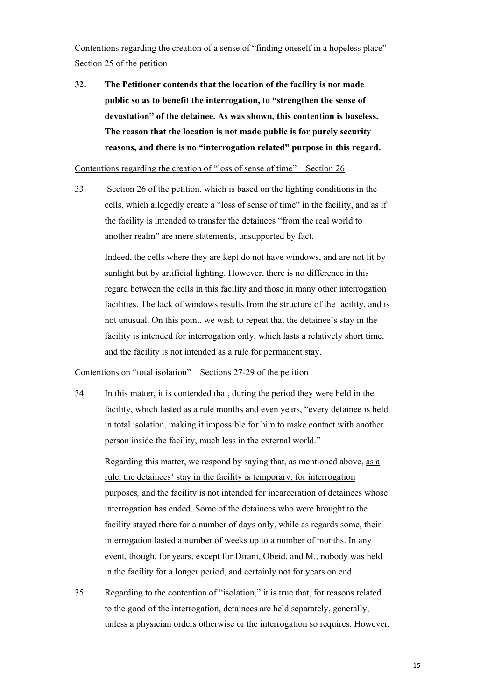Contentions regarding the creation of a sense of "finding oneself in a hopeless place" – Section 25 of the petition

**32. The Petitioner contends that the location of the facility is not made public so as to benefit the interrogation, to "strengthen the sense of devastation" of the detainee. As was shown, this contention is baseless. The reason that the location is not made public is for purely security reasons, and there is no "interrogation related" purpose in this regard.** 

#### Contentions regarding the creation of "loss of sense of time" – Section 26

33. Section 26 of the petition, which is based on the lighting conditions in the cells, which allegedly create a "loss of sense of time" in the facility, and as if the facility is intended to transfer the detainees "from the real world to another realm" are mere statements, unsupported by fact.

Indeed, the cells where they are kept do not have windows, and are not lit by sunlight but by artificial lighting. However, there is no difference in this regard between the cells in this facility and those in many other interrogation facilities. The lack of windows results from the structure of the facility, and is not unusual. On this point, we wish to repeat that the detainee's stay in the facility is intended for interrogation only, which lasts a relatively short time, and the facility is not intended as a rule for permanent stay.

## Contentions on "total isolation" – Sections 27-29 of the petition

34. In this matter, it is contended that, during the period they were held in the facility, which lasted as a rule months and even years, "every detainee is held in total isolation, making it impossible for him to make contact with another person inside the facility, much less in the external world."

Regarding this matter, we respond by saying that, as mentioned above, as a rule, the detainees' stay in the facility is temporary, for interrogation purposes*,* and the facility is not intended for incarceration of detainees whose interrogation has ended. Some of the detainees who were brought to the facility stayed there for a number of days only, while as regards some, their interrogation lasted a number of weeks up to a number of months. In any event, though, for years, except for Dirani, Obeid, and M., nobody was held in the facility for a longer period, and certainly not for years on end.

35. Regarding to the contention of "isolation," it is true that, for reasons related to the good of the interrogation, detainees are held separately, generally, unless a physician orders otherwise or the interrogation so requires. However,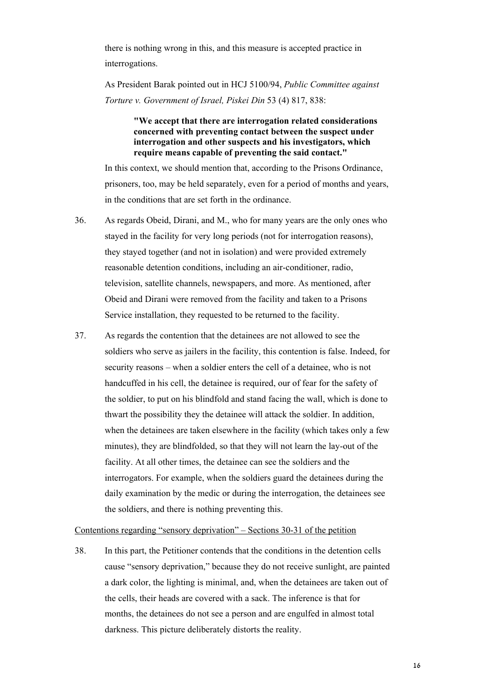there is nothing wrong in this, and this measure is accepted practice in interrogations.

As President Barak pointed out in HCJ 5100/94, *Public Committee against Torture v. Government of Israel, Piskei Din* 53 (4) 817, 838:

> **"We accept that there are interrogation related considerations concerned with preventing contact between the suspect under interrogation and other suspects and his investigators, which require means capable of preventing the said contact."**

In this context, we should mention that, according to the Prisons Ordinance, prisoners, too, may be held separately, even for a period of months and years, in the conditions that are set forth in the ordinance.

- 36. As regards Obeid, Dirani, and M., who for many years are the only ones who stayed in the facility for very long periods (not for interrogation reasons), they stayed together (and not in isolation) and were provided extremely reasonable detention conditions, including an air-conditioner, radio, television, satellite channels, newspapers, and more. As mentioned, after Obeid and Dirani were removed from the facility and taken to a Prisons Service installation, they requested to be returned to the facility.
- 37. As regards the contention that the detainees are not allowed to see the soldiers who serve as jailers in the facility, this contention is false. Indeed, for security reasons – when a soldier enters the cell of a detainee, who is not handcuffed in his cell, the detainee is required, our of fear for the safety of the soldier, to put on his blindfold and stand facing the wall, which is done to thwart the possibility they the detainee will attack the soldier. In addition, when the detainees are taken elsewhere in the facility (which takes only a few minutes), they are blindfolded, so that they will not learn the lay-out of the facility. At all other times, the detainee can see the soldiers and the interrogators. For example, when the soldiers guard the detainees during the daily examination by the medic or during the interrogation, the detainees see the soldiers, and there is nothing preventing this.

#### Contentions regarding "sensory deprivation" – Sections 30-31 of the petition

38. In this part, the Petitioner contends that the conditions in the detention cells cause "sensory deprivation," because they do not receive sunlight, are painted a dark color, the lighting is minimal, and, when the detainees are taken out of the cells, their heads are covered with a sack. The inference is that for months, the detainees do not see a person and are engulfed in almost total darkness. This picture deliberately distorts the reality.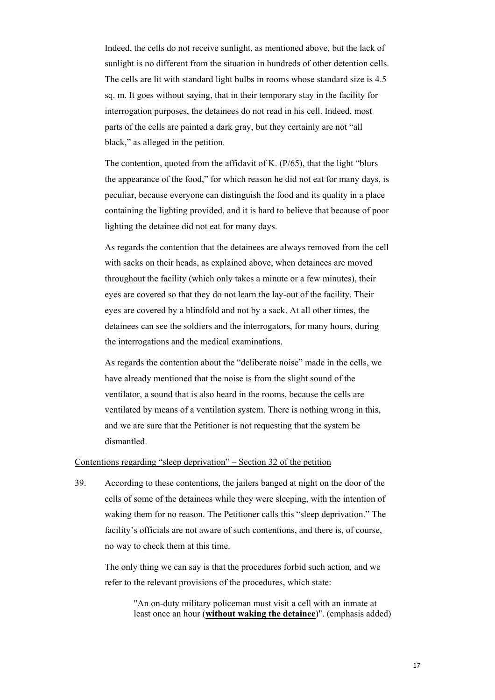Indeed, the cells do not receive sunlight, as mentioned above, but the lack of sunlight is no different from the situation in hundreds of other detention cells. The cells are lit with standard light bulbs in rooms whose standard size is 4.5 sq. m. It goes without saying, that in their temporary stay in the facility for interrogation purposes, the detainees do not read in his cell. Indeed, most parts of the cells are painted a dark gray, but they certainly are not "all black," as alleged in the petition.

The contention, quoted from the affidavit of K. (P/65), that the light "blurs the appearance of the food," for which reason he did not eat for many days, is peculiar, because everyone can distinguish the food and its quality in a place containing the lighting provided, and it is hard to believe that because of poor lighting the detainee did not eat for many days.

As regards the contention that the detainees are always removed from the cell with sacks on their heads, as explained above, when detainees are moved throughout the facility (which only takes a minute or a few minutes), their eyes are covered so that they do not learn the lay-out of the facility. Their eyes are covered by a blindfold and not by a sack. At all other times, the detainees can see the soldiers and the interrogators, for many hours, during the interrogations and the medical examinations.

As regards the contention about the "deliberate noise" made in the cells, we have already mentioned that the noise is from the slight sound of the ventilator, a sound that is also heard in the rooms, because the cells are ventilated by means of a ventilation system. There is nothing wrong in this, and we are sure that the Petitioner is not requesting that the system be dismantled.

#### Contentions regarding "sleep deprivation" – Section 32 of the petition

39. According to these contentions, the jailers banged at night on the door of the cells of some of the detainees while they were sleeping, with the intention of waking them for no reason. The Petitioner calls this "sleep deprivation." The facility's officials are not aware of such contentions, and there is, of course, no way to check them at this time.

The only thing we can say is that the procedures forbid such action*,* and we refer to the relevant provisions of the procedures, which state:

> "An on-duty military policeman must visit a cell with an inmate at least once an hour (**without waking the detainee**)". (emphasis added)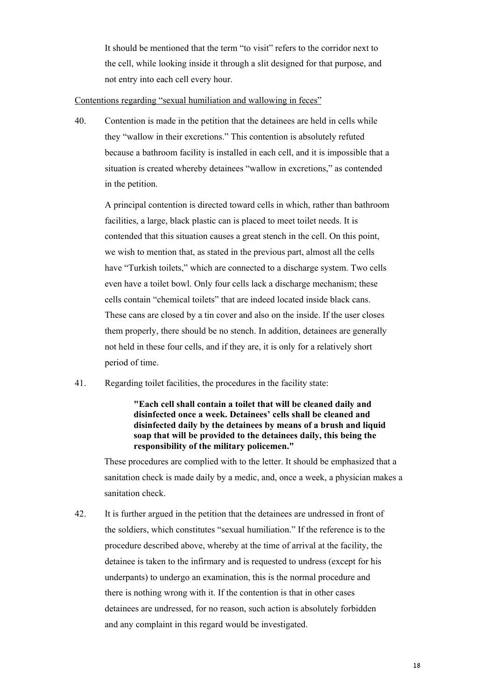It should be mentioned that the term "to visit" refers to the corridor next to the cell, while looking inside it through a slit designed for that purpose, and not entry into each cell every hour.

## Contentions regarding "sexual humiliation and wallowing in feces"

40. Contention is made in the petition that the detainees are held in cells while they "wallow in their excretions." This contention is absolutely refuted because a bathroom facility is installed in each cell, and it is impossible that a situation is created whereby detainees "wallow in excretions," as contended in the petition.

A principal contention is directed toward cells in which, rather than bathroom facilities, a large, black plastic can is placed to meet toilet needs. It is contended that this situation causes a great stench in the cell. On this point, we wish to mention that, as stated in the previous part, almost all the cells have "Turkish toilets," which are connected to a discharge system. Two cells even have a toilet bowl. Only four cells lack a discharge mechanism; these cells contain "chemical toilets" that are indeed located inside black cans. These cans are closed by a tin cover and also on the inside. If the user closes them properly, there should be no stench. In addition, detainees are generally not held in these four cells, and if they are, it is only for a relatively short period of time.

41. Regarding toilet facilities, the procedures in the facility state:

## **"Each cell shall contain a toilet that will be cleaned daily and disinfected once a week. Detainees' cells shall be cleaned and disinfected daily by the detainees by means of a brush and liquid soap that will be provided to the detainees daily, this being the responsibility of the military policemen."**

 These procedures are complied with to the letter. It should be emphasized that a sanitation check is made daily by a medic, and, once a week, a physician makes a sanitation check.

42. It is further argued in the petition that the detainees are undressed in front of the soldiers, which constitutes "sexual humiliation." If the reference is to the procedure described above, whereby at the time of arrival at the facility, the detainee is taken to the infirmary and is requested to undress (except for his underpants) to undergo an examination, this is the normal procedure and there is nothing wrong with it. If the contention is that in other cases detainees are undressed, for no reason, such action is absolutely forbidden and any complaint in this regard would be investigated.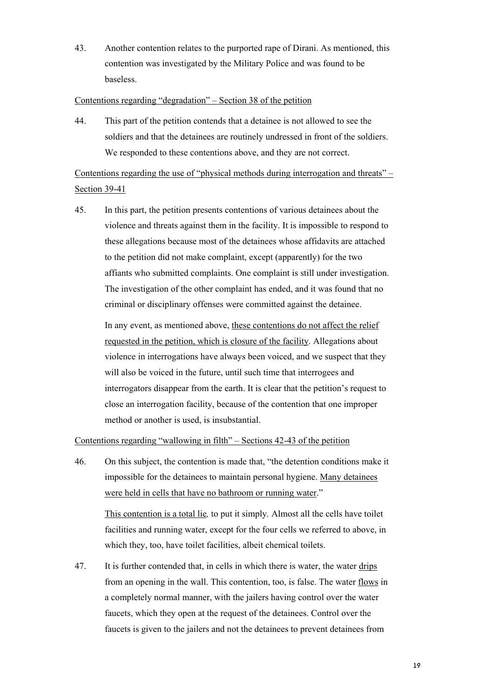43. Another contention relates to the purported rape of Dirani. As mentioned, this contention was investigated by the Military Police and was found to be baseless.

### Contentions regarding "degradation" – Section 38 of the petition

44. This part of the petition contends that a detainee is not allowed to see the soldiers and that the detainees are routinely undressed in front of the soldiers. We responded to these contentions above, and they are not correct.

Contentions regarding the use of "physical methods during interrogation and threats" – Section 39-41

45. In this part, the petition presents contentions of various detainees about the violence and threats against them in the facility. It is impossible to respond to these allegations because most of the detainees whose affidavits are attached to the petition did not make complaint, except (apparently) for the two affiants who submitted complaints. One complaint is still under investigation. The investigation of the other complaint has ended, and it was found that no criminal or disciplinary offenses were committed against the detainee.

In any event, as mentioned above, these contentions do not affect the relief requested in the petition, which is closure of the facility. Allegations about violence in interrogations have always been voiced, and we suspect that they will also be voiced in the future, until such time that interrogees and interrogators disappear from the earth. It is clear that the petition's request to close an interrogation facility, because of the contention that one improper method or another is used, is insubstantial.

## Contentions regarding "wallowing in filth" – Sections 42-43 of the petition

which they, too, have toilet facilities, albeit chemical toilets.

- 46. On this subject, the contention is made that, "the detention conditions make it impossible for the detainees to maintain personal hygiene. Many detainees were held in cells that have no bathroom or running water." This contention is a total lie*,* to put it simply*.* Almost all the cells have toilet facilities and running water, except for the four cells we referred to above, in
- 47. It is further contended that, in cells in which there is water, the water drips from an opening in the wall. This contention, too, is false. The water flows in a completely normal manner, with the jailers having control over the water faucets, which they open at the request of the detainees. Control over the faucets is given to the jailers and not the detainees to prevent detainees from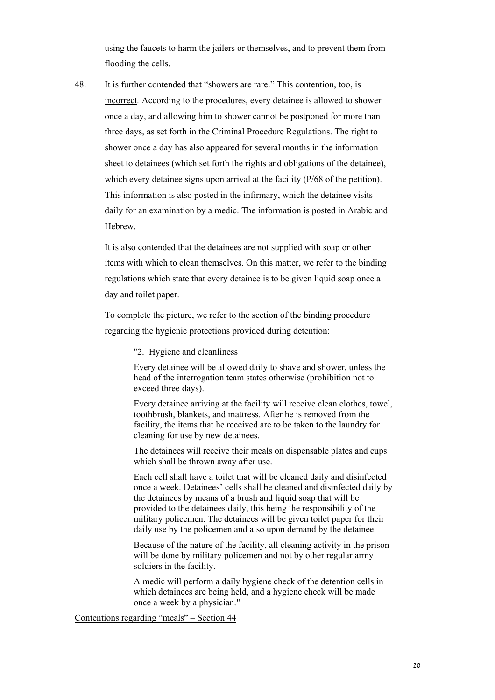using the faucets to harm the jailers or themselves, and to prevent them from flooding the cells.

48. It is further contended that "showers are rare." This contention, too, is incorrect*.* According to the procedures, every detainee is allowed to shower once a day, and allowing him to shower cannot be postponed for more than three days, as set forth in the Criminal Procedure Regulations. The right to shower once a day has also appeared for several months in the information sheet to detainees (which set forth the rights and obligations of the detainee), which every detainee signs upon arrival at the facility (P/68 of the petition). This information is also posted in the infirmary, which the detainee visits daily for an examination by a medic. The information is posted in Arabic and Hebrew.

It is also contended that the detainees are not supplied with soap or other items with which to clean themselves. On this matter, we refer to the binding regulations which state that every detainee is to be given liquid soap once a day and toilet paper.

To complete the picture, we refer to the section of the binding procedure regarding the hygienic protections provided during detention:

## "2. Hygiene and cleanliness

Every detainee will be allowed daily to shave and shower, unless the head of the interrogation team states otherwise (prohibition not to exceed three days).

Every detainee arriving at the facility will receive clean clothes, towel, toothbrush, blankets, and mattress. After he is removed from the facility, the items that he received are to be taken to the laundry for cleaning for use by new detainees.

The detainees will receive their meals on dispensable plates and cups which shall be thrown away after use.

Each cell shall have a toilet that will be cleaned daily and disinfected once a week. Detainees' cells shall be cleaned and disinfected daily by the detainees by means of a brush and liquid soap that will be provided to the detainees daily, this being the responsibility of the military policemen. The detainees will be given toilet paper for their daily use by the policemen and also upon demand by the detainee.

Because of the nature of the facility, all cleaning activity in the prison will be done by military policemen and not by other regular army soldiers in the facility.

A medic will perform a daily hygiene check of the detention cells in which detainees are being held, and a hygiene check will be made once a week by a physician."

Contentions regarding "meals" – Section 44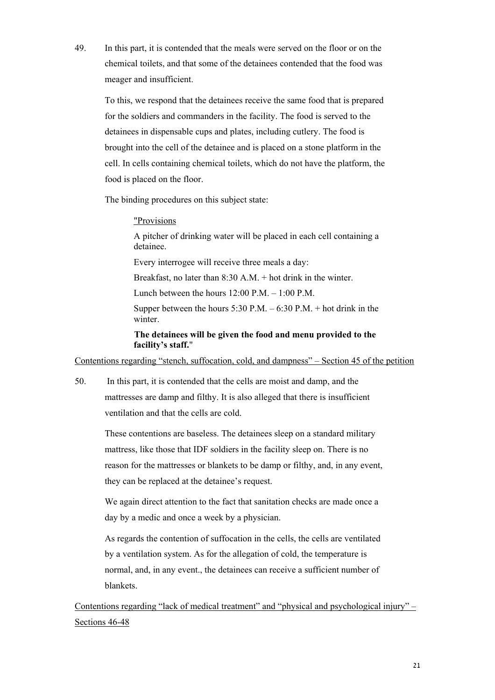49. In this part, it is contended that the meals were served on the floor or on the chemical toilets, and that some of the detainees contended that the food was meager and insufficient.

To this, we respond that the detainees receive the same food that is prepared for the soldiers and commanders in the facility. The food is served to the detainees in dispensable cups and plates, including cutlery. The food is brought into the cell of the detainee and is placed on a stone platform in the cell. In cells containing chemical toilets, which do not have the platform, the food is placed on the floor.

The binding procedures on this subject state:

#### "Provisions

A pitcher of drinking water will be placed in each cell containing a detainee.

Every interrogee will receive three meals a day:

Breakfast, no later than 8:30 A.M. + hot drink in the winter.

Lunch between the hours 12:00 P.M. – 1:00 P.M.

Supper between the hours  $5:30$  P.M. –  $6:30$  P.M. + hot drink in the winter.

**The detainees will be given the food and menu provided to the facility's staff.**"

Contentions regarding "stench, suffocation, cold, and dampness" – Section 45 of the petition

50. In this part, it is contended that the cells are moist and damp, and the mattresses are damp and filthy. It is also alleged that there is insufficient ventilation and that the cells are cold.

These contentions are baseless. The detainees sleep on a standard military mattress, like those that IDF soldiers in the facility sleep on. There is no reason for the mattresses or blankets to be damp or filthy, and, in any event, they can be replaced at the detainee's request.

We again direct attention to the fact that sanitation checks are made once a day by a medic and once a week by a physician.

As regards the contention of suffocation in the cells, the cells are ventilated by a ventilation system. As for the allegation of cold, the temperature is normal, and, in any event., the detainees can receive a sufficient number of blankets.

Contentions regarding "lack of medical treatment" and "physical and psychological injury" – Sections 46-48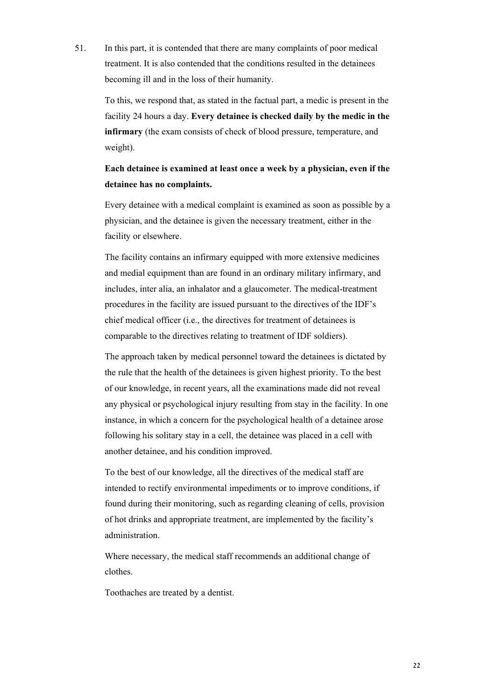51. In this part, it is contended that there are many complaints of poor medical treatment. It is also contended that the conditions resulted in the detainees becoming ill and in the loss of their humanity.

To this, we respond that, as stated in the factual part, a medic is present in the facility 24 hours a day. **Every detainee is checked daily by the medic in the infirmary** (the exam consists of check of blood pressure, temperature, and weight).

## **Each detainee is examined at least once a week by a physician, even if the detainee has no complaints.**

Every detainee with a medical complaint is examined as soon as possible by a physician, and the detainee is given the necessary treatment, either in the facility or elsewhere.

The facility contains an infirmary equipped with more extensive medicines and medial equipment than are found in an ordinary military infirmary, and includes, inter alia, an inhalator and a glaucometer. The medical-treatment procedures in the facility are issued pursuant to the directives of the IDF's chief medical officer (i.e., the directives for treatment of detainees is comparable to the directives relating to treatment of IDF soldiers).

The approach taken by medical personnel toward the detainees is dictated by the rule that the health of the detainees is given highest priority. To the best of our knowledge, in recent years, all the examinations made did not reveal any physical or psychological injury resulting from stay in the facility. In one instance, in which a concern for the psychological health of a detainee arose following his solitary stay in a cell, the detainee was placed in a cell with another detainee, and his condition improved.

To the best of our knowledge, all the directives of the medical staff are intended to rectify environmental impediments or to improve conditions, if found during their monitoring, such as regarding cleaning of cells, provision of hot drinks and appropriate treatment, are implemented by the facility's administration.

Where necessary, the medical staff recommends an additional change of clothes.

Toothaches are treated by a dentist.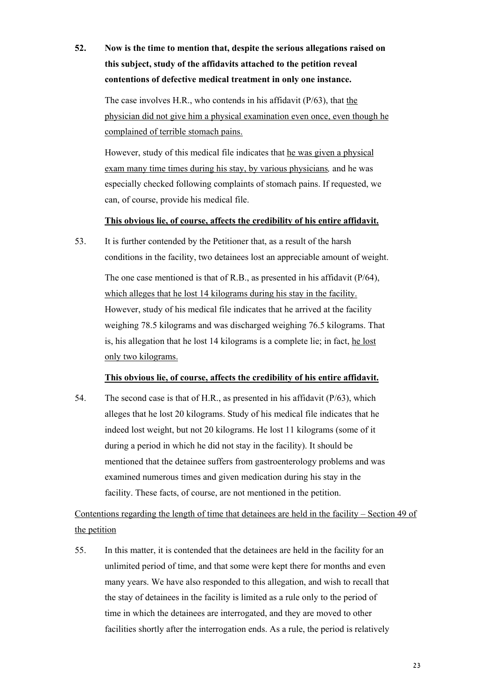# **52. Now is the time to mention that, despite the serious allegations raised on this subject, study of the affidavits attached to the petition reveal contentions of defective medical treatment in only one instance.**

The case involves H.R., who contends in his affidavit (P/63), that the physician did not give him a physical examination even once, even though he complained of terrible stomach pains.

However, study of this medical file indicates that he was given a physical exam many time times during his stay, by various physicians*,* and he was especially checked following complaints of stomach pains. If requested, we can, of course, provide his medical file.

## **This obvious lie, of course, affects the credibility of his entire affidavit.**

53. It is further contended by the Petitioner that, as a result of the harsh conditions in the facility, two detainees lost an appreciable amount of weight.

The one case mentioned is that of R.B., as presented in his affidavit (P/64), which alleges that he lost 14 kilograms during his stay in the facility. However, study of his medical file indicates that he arrived at the facility weighing 78.5 kilograms and was discharged weighing 76.5 kilograms. That is, his allegation that he lost 14 kilograms is a complete lie; in fact, he lost only two kilograms.

### **This obvious lie, of course, affects the credibility of his entire affidavit.**

54. The second case is that of H.R., as presented in his affidavit (P/63), which alleges that he lost 20 kilograms. Study of his medical file indicates that he indeed lost weight, but not 20 kilograms. He lost 11 kilograms (some of it during a period in which he did not stay in the facility). It should be mentioned that the detainee suffers from gastroenterology problems and was examined numerous times and given medication during his stay in the facility. These facts, of course, are not mentioned in the petition.

Contentions regarding the length of time that detainees are held in the facility – Section 49 of the petition

55. In this matter, it is contended that the detainees are held in the facility for an unlimited period of time, and that some were kept there for months and even many years. We have also responded to this allegation, and wish to recall that the stay of detainees in the facility is limited as a rule only to the period of time in which the detainees are interrogated, and they are moved to other facilities shortly after the interrogation ends. As a rule, the period is relatively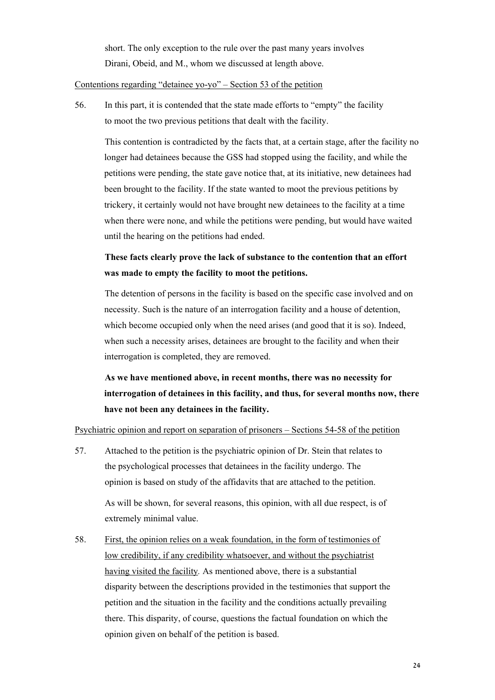short. The only exception to the rule over the past many years involves Dirani, Obeid, and M., whom we discussed at length above.

## Contentions regarding "detainee yo-yo" – Section 53 of the petition

56. In this part, it is contended that the state made efforts to "empty" the facility to moot the two previous petitions that dealt with the facility.

This contention is contradicted by the facts that, at a certain stage, after the facility no longer had detainees because the GSS had stopped using the facility, and while the petitions were pending, the state gave notice that, at its initiative, new detainees had been brought to the facility. If the state wanted to moot the previous petitions by trickery, it certainly would not have brought new detainees to the facility at a time when there were none, and while the petitions were pending, but would have waited until the hearing on the petitions had ended.

## **These facts clearly prove the lack of substance to the contention that an effort was made to empty the facility to moot the petitions.**

The detention of persons in the facility is based on the specific case involved and on necessity. Such is the nature of an interrogation facility and a house of detention, which become occupied only when the need arises (and good that it is so). Indeed, when such a necessity arises, detainees are brought to the facility and when their interrogation is completed, they are removed.

**As we have mentioned above, in recent months, there was no necessity for interrogation of detainees in this facility, and thus, for several months now, there have not been any detainees in the facility.** 

### Psychiatric opinion and report on separation of prisoners – Sections 54-58 of the petition

57. Attached to the petition is the psychiatric opinion of Dr. Stein that relates to the psychological processes that detainees in the facility undergo. The opinion is based on study of the affidavits that are attached to the petition. As will be shown, for several reasons, this opinion, with all due respect, is of

extremely minimal value.

58. First, the opinion relies on a weak foundation, in the form of testimonies of low credibility, if any credibility whatsoever, and without the psychiatrist having visited the facility*.* As mentioned above, there is a substantial disparity between the descriptions provided in the testimonies that support the petition and the situation in the facility and the conditions actually prevailing there. This disparity, of course, questions the factual foundation on which the opinion given on behalf of the petition is based.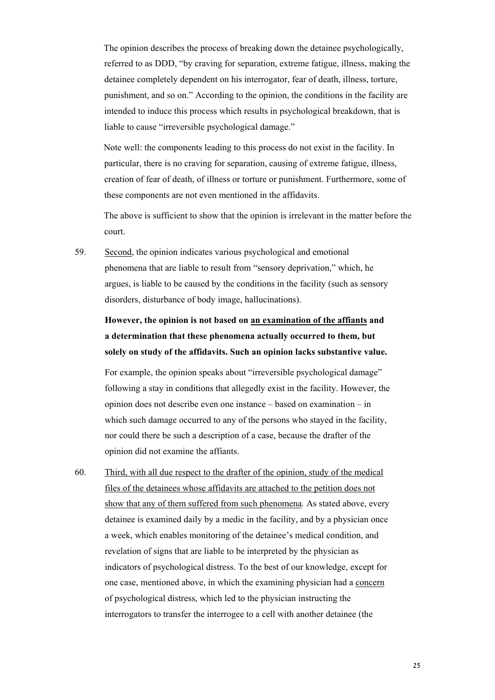The opinion describes the process of breaking down the detainee psychologically, referred to as DDD, "by craving for separation, extreme fatigue, illness, making the detainee completely dependent on his interrogator, fear of death, illness, torture, punishment, and so on." According to the opinion, the conditions in the facility are intended to induce this process which results in psychological breakdown, that is liable to cause "irreversible psychological damage."

Note well: the components leading to this process do not exist in the facility. In particular, there is no craving for separation, causing of extreme fatigue, illness, creation of fear of death, of illness or torture or punishment. Furthermore, some of these components are not even mentioned in the affidavits.

The above is sufficient to show that the opinion is irrelevant in the matter before the court.

59. Second, the opinion indicates various psychological and emotional phenomena that are liable to result from "sensory deprivation," which, he argues, is liable to be caused by the conditions in the facility (such as sensory disorders, disturbance of body image, hallucinations).

## **However, the opinion is not based on an examination of the affiants and a determination that these phenomena actually occurred to them, but solely on study of the affidavits. Such an opinion lacks substantive value.**

For example, the opinion speaks about "irreversible psychological damage" following a stay in conditions that allegedly exist in the facility. However, the opinion does not describe even one instance – based on examination – in which such damage occurred to any of the persons who stayed in the facility, nor could there be such a description of a case, because the drafter of the opinion did not examine the affiants.

60. Third, with all due respect to the drafter of the opinion, study of the medical files of the detainees whose affidavits are attached to the petition does not show that any of them suffered from such phenomena*.* As stated above, every detainee is examined daily by a medic in the facility, and by a physician once a week, which enables monitoring of the detainee's medical condition, and revelation of signs that are liable to be interpreted by the physician as indicators of psychological distress. To the best of our knowledge, except for one case, mentioned above, in which the examining physician had a concern of psychological distress, which led to the physician instructing the interrogators to transfer the interrogee to a cell with another detainee (the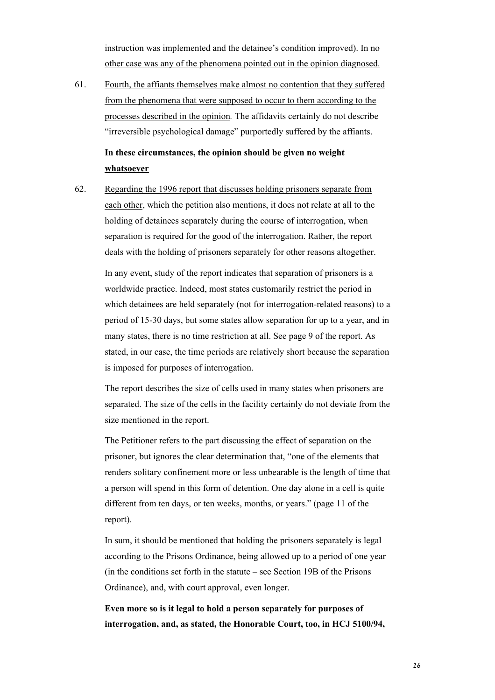instruction was implemented and the detainee's condition improved). In no other case was any of the phenomena pointed out in the opinion diagnosed.

61. Fourth, the affiants themselves make almost no contention that they suffered from the phenomena that were supposed to occur to them according to the processes described in the opinion*.* The affidavits certainly do not describe "irreversible psychological damage" purportedly suffered by the affiants.

## **In these circumstances, the opinion should be given no weight whatsoever**

62. Regarding the 1996 report that discusses holding prisoners separate from each other, which the petition also mentions, it does not relate at all to the holding of detainees separately during the course of interrogation, when separation is required for the good of the interrogation. Rather, the report deals with the holding of prisoners separately for other reasons altogether.

In any event, study of the report indicates that separation of prisoners is a worldwide practice. Indeed, most states customarily restrict the period in which detainees are held separately (not for interrogation-related reasons) to a period of 15-30 days, but some states allow separation for up to a year, and in many states, there is no time restriction at all. See page 9 of the report. As stated, in our case, the time periods are relatively short because the separation is imposed for purposes of interrogation.

The report describes the size of cells used in many states when prisoners are separated. The size of the cells in the facility certainly do not deviate from the size mentioned in the report.

The Petitioner refers to the part discussing the effect of separation on the prisoner, but ignores the clear determination that, "one of the elements that renders solitary confinement more or less unbearable is the length of time that a person will spend in this form of detention. One day alone in a cell is quite different from ten days, or ten weeks, months, or years." (page 11 of the report).

In sum, it should be mentioned that holding the prisoners separately is legal according to the Prisons Ordinance, being allowed up to a period of one year (in the conditions set forth in the statute – see Section 19B of the Prisons Ordinance), and, with court approval, even longer.

**Even more so is it legal to hold a person separately for purposes of interrogation, and, as stated, the Honorable Court, too, in HCJ 5100/94,**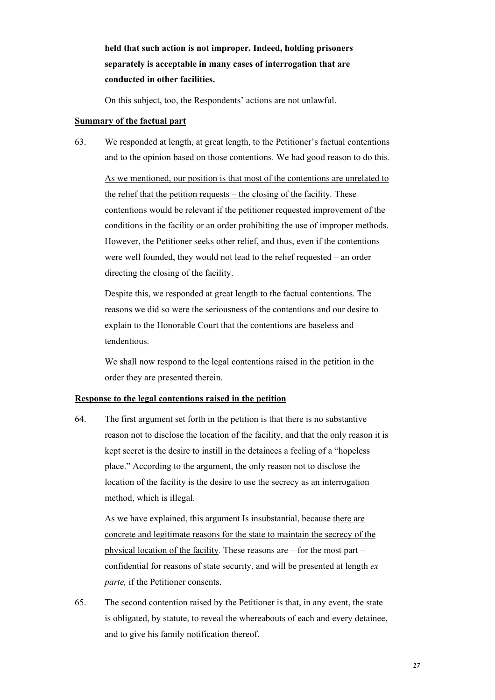**held that such action is not improper. Indeed, holding prisoners separately is acceptable in many cases of interrogation that are conducted in other facilities.** 

On this subject, too, the Respondents' actions are not unlawful.

#### **Summary of the factual part**

63. We responded at length, at great length, to the Petitioner's factual contentions and to the opinion based on those contentions. We had good reason to do this.

As we mentioned, our position is that most of the contentions are unrelated to the relief that the petition requests – the closing of the facility*.* These contentions would be relevant if the petitioner requested improvement of the conditions in the facility or an order prohibiting the use of improper methods. However, the Petitioner seeks other relief, and thus, even if the contentions were well founded, they would not lead to the relief requested – an order directing the closing of the facility.

Despite this, we responded at great length to the factual contentions. The reasons we did so were the seriousness of the contentions and our desire to explain to the Honorable Court that the contentions are baseless and tendentious.

We shall now respond to the legal contentions raised in the petition in the order they are presented therein.

### **Response to the legal contentions raised in the petition**

64. The first argument set forth in the petition is that there is no substantive reason not to disclose the location of the facility, and that the only reason it is kept secret is the desire to instill in the detainees a feeling of a "hopeless place." According to the argument, the only reason not to disclose the location of the facility is the desire to use the secrecy as an interrogation method, which is illegal.

As we have explained, this argument Is insubstantial, because there are concrete and legitimate reasons for the state to maintain the secrecy of the physical location of the facility*.* These reasons are – for the most part – confidential for reasons of state security, and will be presented at length *ex parte,* if the Petitioner consents.

65. The second contention raised by the Petitioner is that, in any event, the state is obligated, by statute, to reveal the whereabouts of each and every detainee, and to give his family notification thereof.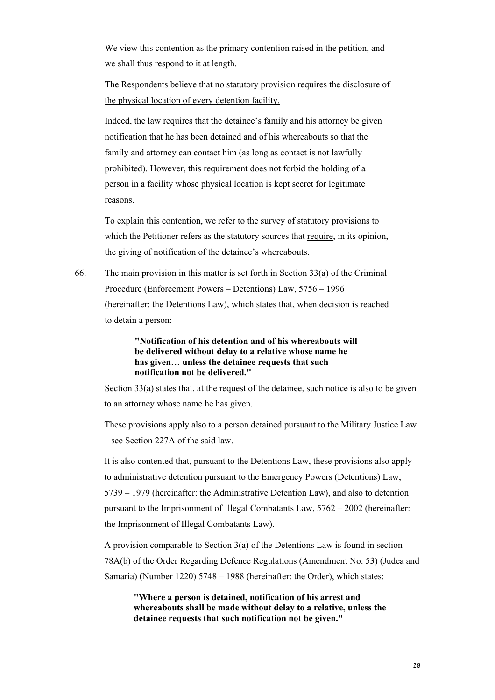We view this contention as the primary contention raised in the petition, and we shall thus respond to it at length.

The Respondents believe that no statutory provision requires the disclosure of the physical location of every detention facility.

Indeed, the law requires that the detainee's family and his attorney be given notification that he has been detained and of his whereabouts so that the family and attorney can contact him (as long as contact is not lawfully prohibited). However, this requirement does not forbid the holding of a person in a facility whose physical location is kept secret for legitimate reasons.

To explain this contention, we refer to the survey of statutory provisions to which the Petitioner refers as the statutory sources that require, in its opinion, the giving of notification of the detainee's whereabouts.

66. The main provision in this matter is set forth in Section 33(a) of the Criminal Procedure (Enforcement Powers – Detentions) Law, 5756 – 1996 (hereinafter: the Detentions Law), which states that, when decision is reached to detain a person:

> **"Notification of his detention and of his whereabouts will be delivered without delay to a relative whose name he has given… unless the detainee requests that such notification not be delivered."**

 Section 33(a) states that, at the request of the detainee, such notice is also to be given to an attorney whose name he has given.

These provisions apply also to a person detained pursuant to the Military Justice Law – see Section 227A of the said law.

It is also contented that, pursuant to the Detentions Law, these provisions also apply to administrative detention pursuant to the Emergency Powers (Detentions) Law, 5739 – 1979 (hereinafter: the Administrative Detention Law), and also to detention pursuant to the Imprisonment of Illegal Combatants Law, 5762 – 2002 (hereinafter: the Imprisonment of Illegal Combatants Law).

A provision comparable to Section 3(a) of the Detentions Law is found in section 78A(b) of the Order Regarding Defence Regulations (Amendment No. 53) (Judea and Samaria) (Number 1220) 5748 – 1988 (hereinafter: the Order), which states:

**"Where a person is detained, notification of his arrest and whereabouts shall be made without delay to a relative, unless the detainee requests that such notification not be given."**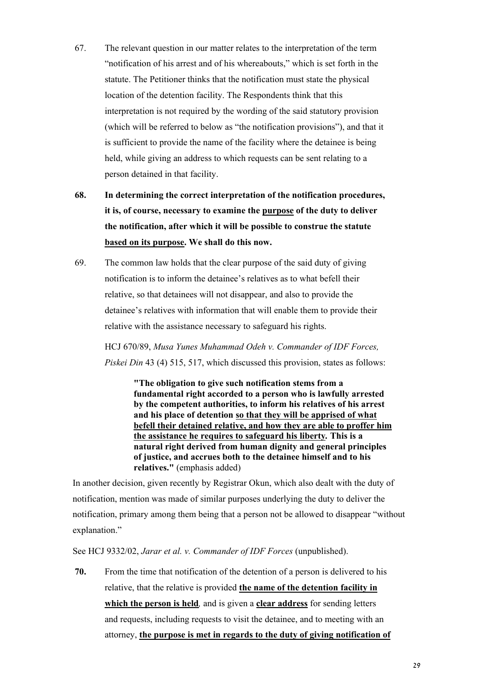- 67. The relevant question in our matter relates to the interpretation of the term "notification of his arrest and of his whereabouts," which is set forth in the statute. The Petitioner thinks that the notification must state the physical location of the detention facility. The Respondents think that this interpretation is not required by the wording of the said statutory provision (which will be referred to below as "the notification provisions"), and that it is sufficient to provide the name of the facility where the detainee is being held, while giving an address to which requests can be sent relating to a person detained in that facility.
- **68. In determining the correct interpretation of the notification procedures, it is, of course, necessary to examine the purpose of the duty to deliver the notification, after which it will be possible to construe the statute based on its purpose. We shall do this now.**
- 69. The common law holds that the clear purpose of the said duty of giving notification is to inform the detainee's relatives as to what befell their relative, so that detainees will not disappear, and also to provide the detainee's relatives with information that will enable them to provide their relative with the assistance necessary to safeguard his rights.

HCJ 670/89, *Musa Yunes Muhammad Odeh v. Commander of IDF Forces, Piskei Din* 43 (4) 515, 517, which discussed this provision, states as follows:

> **"The obligation to give such notification stems from a fundamental right accorded to a person who is lawfully arrested by the competent authorities, to inform his relatives of his arrest and his place of detention so that they will be apprised of what befell their detained relative, and how they are able to proffer him the assistance he requires to safeguard his liberty***.* **This is a natural right derived from human dignity and general principles of justice, and accrues both to the detainee himself and to his relatives."** (emphasis added)

In another decision, given recently by Registrar Okun, which also dealt with the duty of notification, mention was made of similar purposes underlying the duty to deliver the notification, primary among them being that a person not be allowed to disappear "without explanation."

See HCJ 9332/02, *Jarar et al. v. Commander of IDF Forces* (unpublished).

**70.** From the time that notification of the detention of a person is delivered to his relative, that the relative is provided **the name of the detention facility in which the person is held***,* and is given a **clear address** for sending letters and requests, including requests to visit the detainee, and to meeting with an attorney, **the purpose is met in regards to the duty of giving notification of**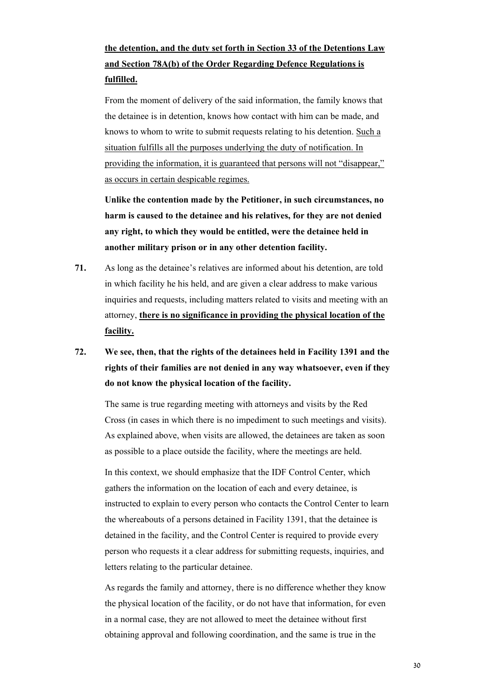# **the detention, and the duty set forth in Section 33 of the Detentions Law and Section 78A(b) of the Order Regarding Defence Regulations is fulfilled.**

From the moment of delivery of the said information, the family knows that the detainee is in detention, knows how contact with him can be made, and knows to whom to write to submit requests relating to his detention. Such a situation fulfills all the purposes underlying the duty of notification. In providing the information, it is guaranteed that persons will not "disappear," as occurs in certain despicable regimes.

**Unlike the contention made by the Petitioner, in such circumstances, no harm is caused to the detainee and his relatives, for they are not denied any right, to which they would be entitled, were the detainee held in another military prison or in any other detention facility.** 

- **71.** As long as the detainee's relatives are informed about his detention, are told in which facility he his held, and are given a clear address to make various inquiries and requests, including matters related to visits and meeting with an attorney, **there is no significance in providing the physical location of the facility.**
- **72. We see, then, that the rights of the detainees held in Facility 1391 and the rights of their families are not denied in any way whatsoever, even if they do not know the physical location of the facility.**

The same is true regarding meeting with attorneys and visits by the Red Cross (in cases in which there is no impediment to such meetings and visits). As explained above, when visits are allowed, the detainees are taken as soon as possible to a place outside the facility, where the meetings are held.

In this context, we should emphasize that the IDF Control Center, which gathers the information on the location of each and every detainee, is instructed to explain to every person who contacts the Control Center to learn the whereabouts of a persons detained in Facility 1391, that the detainee is detained in the facility, and the Control Center is required to provide every person who requests it a clear address for submitting requests, inquiries, and letters relating to the particular detainee.

As regards the family and attorney, there is no difference whether they know the physical location of the facility, or do not have that information, for even in a normal case, they are not allowed to meet the detainee without first obtaining approval and following coordination, and the same is true in the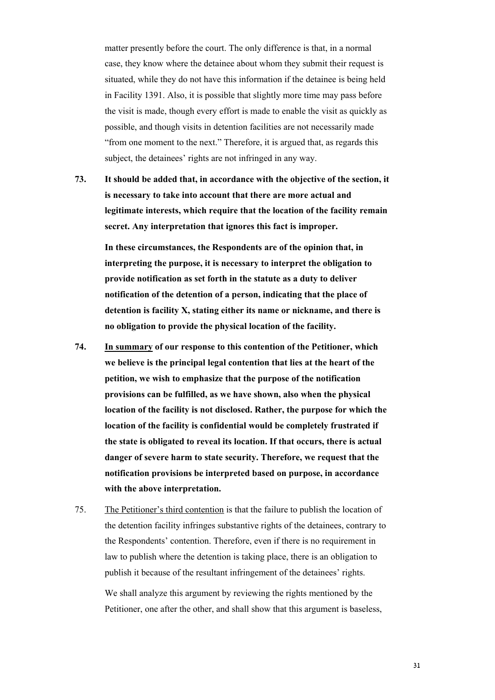matter presently before the court. The only difference is that, in a normal case, they know where the detainee about whom they submit their request is situated, while they do not have this information if the detainee is being held in Facility 1391. Also, it is possible that slightly more time may pass before the visit is made, though every effort is made to enable the visit as quickly as possible, and though visits in detention facilities are not necessarily made "from one moment to the next." Therefore, it is argued that, as regards this subject, the detainees' rights are not infringed in any way.

**73. It should be added that, in accordance with the objective of the section, it is necessary to take into account that there are more actual and legitimate interests, which require that the location of the facility remain secret. Any interpretation that ignores this fact is improper.** 

**In these circumstances, the Respondents are of the opinion that, in interpreting the purpose, it is necessary to interpret the obligation to provide notification as set forth in the statute as a duty to deliver notification of the detention of a person, indicating that the place of detention is facility X, stating either its name or nickname, and there is no obligation to provide the physical location of the facility.** 

- **74. In summary of our response to this contention of the Petitioner, which we believe is the principal legal contention that lies at the heart of the petition, we wish to emphasize that the purpose of the notification provisions can be fulfilled, as we have shown, also when the physical location of the facility is not disclosed. Rather, the purpose for which the location of the facility is confidential would be completely frustrated if the state is obligated to reveal its location. If that occurs, there is actual danger of severe harm to state security. Therefore, we request that the notification provisions be interpreted based on purpose, in accordance with the above interpretation.**
- 75. The Petitioner's third contention is that the failure to publish the location of the detention facility infringes substantive rights of the detainees, contrary to the Respondents' contention. Therefore, even if there is no requirement in law to publish where the detention is taking place, there is an obligation to publish it because of the resultant infringement of the detainees' rights.

We shall analyze this argument by reviewing the rights mentioned by the Petitioner, one after the other, and shall show that this argument is baseless,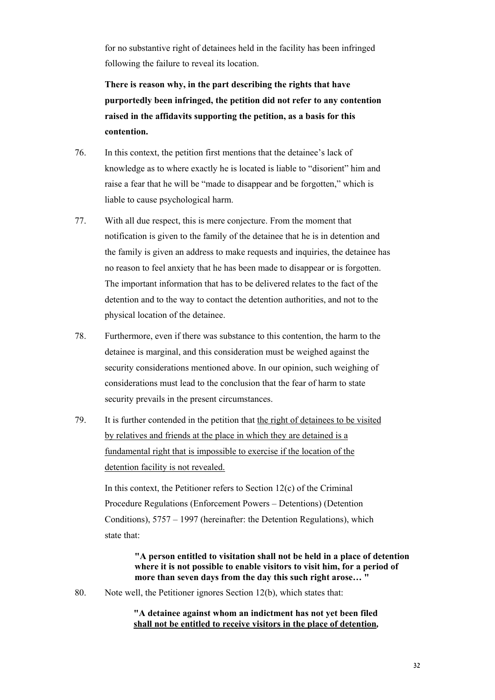for no substantive right of detainees held in the facility has been infringed following the failure to reveal its location.

**There is reason why, in the part describing the rights that have purportedly been infringed, the petition did not refer to any contention raised in the affidavits supporting the petition, as a basis for this contention.** 

- 76. In this context, the petition first mentions that the detainee's lack of knowledge as to where exactly he is located is liable to "disorient" him and raise a fear that he will be "made to disappear and be forgotten," which is liable to cause psychological harm.
- 77. With all due respect, this is mere conjecture. From the moment that notification is given to the family of the detainee that he is in detention and the family is given an address to make requests and inquiries, the detainee has no reason to feel anxiety that he has been made to disappear or is forgotten. The important information that has to be delivered relates to the fact of the detention and to the way to contact the detention authorities, and not to the physical location of the detainee.
- 78. Furthermore, even if there was substance to this contention, the harm to the detainee is marginal, and this consideration must be weighed against the security considerations mentioned above. In our opinion, such weighing of considerations must lead to the conclusion that the fear of harm to state security prevails in the present circumstances.
- 79. It is further contended in the petition that the right of detainees to be visited by relatives and friends at the place in which they are detained is a fundamental right that is impossible to exercise if the location of the detention facility is not revealed.

In this context, the Petitioner refers to Section  $12(c)$  of the Criminal Procedure Regulations (Enforcement Powers – Detentions) (Detention Conditions), 5757 – 1997 (hereinafter: the Detention Regulations), which state that:

> **"A person entitled to visitation shall not be held in a place of detention where it is not possible to enable visitors to visit him, for a period of more than seven days from the day this such right arose… "**

80. Note well, the Petitioner ignores Section 12(b), which states that:

## **"A detainee against whom an indictment has not yet been filed shall not be entitled to receive visitors in the place of detention***,*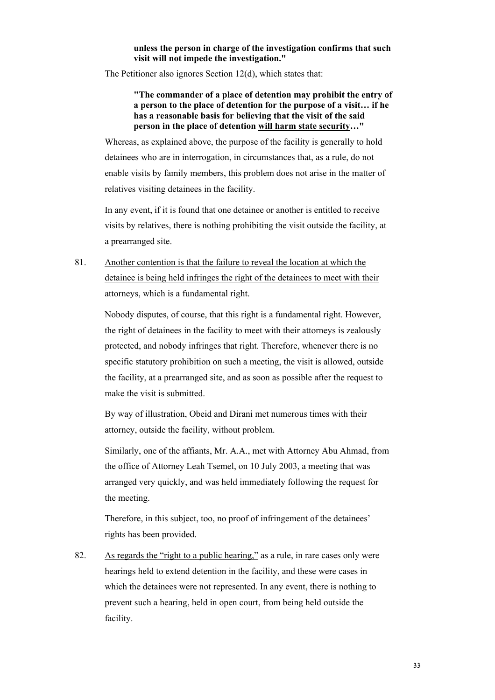#### **unless the person in charge of the investigation confirms that such visit will not impede the investigation."**

The Petitioner also ignores Section 12(d), which states that:

**"The commander of a place of detention may prohibit the entry of a person to the place of detention for the purpose of a visit… if he has a reasonable basis for believing that the visit of the said person in the place of detention will harm state security***…***"** 

Whereas, as explained above, the purpose of the facility is generally to hold detainees who are in interrogation, in circumstances that, as a rule, do not enable visits by family members, this problem does not arise in the matter of relatives visiting detainees in the facility.

In any event, if it is found that one detainee or another is entitled to receive visits by relatives, there is nothing prohibiting the visit outside the facility, at a prearranged site.

81. Another contention is that the failure to reveal the location at which the detainee is being held infringes the right of the detainees to meet with their attorneys, which is a fundamental right.

Nobody disputes, of course, that this right is a fundamental right. However, the right of detainees in the facility to meet with their attorneys is zealously protected, and nobody infringes that right. Therefore, whenever there is no specific statutory prohibition on such a meeting, the visit is allowed, outside the facility, at a prearranged site, and as soon as possible after the request to make the visit is submitted.

By way of illustration, Obeid and Dirani met numerous times with their attorney, outside the facility, without problem.

Similarly, one of the affiants, Mr. A.A., met with Attorney Abu Ahmad, from the office of Attorney Leah Tsemel, on 10 July 2003, a meeting that was arranged very quickly, and was held immediately following the request for the meeting.

Therefore, in this subject, too, no proof of infringement of the detainees' rights has been provided.

82. As regards the "right to a public hearing," as a rule, in rare cases only were hearings held to extend detention in the facility, and these were cases in which the detainees were not represented. In any event, there is nothing to prevent such a hearing, held in open court, from being held outside the facility.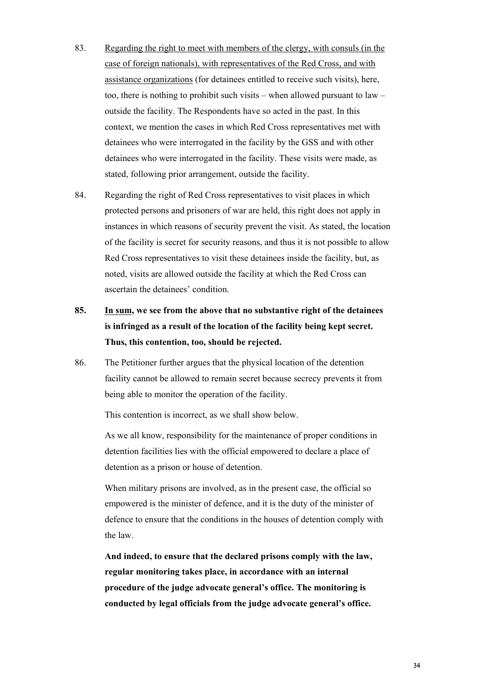- 83. Regarding the right to meet with members of the clergy, with consuls (in the case of foreign nationals), with representatives of the Red Cross, and with assistance organizations (for detainees entitled to receive such visits), here, too, there is nothing to prohibit such visits – when allowed pursuant to law – outside the facility. The Respondents have so acted in the past. In this context, we mention the cases in which Red Cross representatives met with detainees who were interrogated in the facility by the GSS and with other detainees who were interrogated in the facility. These visits were made, as stated, following prior arrangement, outside the facility.
- 84. Regarding the right of Red Cross representatives to visit places in which protected persons and prisoners of war are held, this right does not apply in instances in which reasons of security prevent the visit. As stated, the location of the facility is secret for security reasons, and thus it is not possible to allow Red Cross representatives to visit these detainees inside the facility, but, as noted, visits are allowed outside the facility at which the Red Cross can ascertain the detainees' condition.
- **85. In sum, we see from the above that no substantive right of the detainees is infringed as a result of the location of the facility being kept secret. Thus, this contention, too, should be rejected.**
- 86. The Petitioner further argues that the physical location of the detention facility cannot be allowed to remain secret because secrecy prevents it from being able to monitor the operation of the facility.

This contention is incorrect, as we shall show below.

As we all know, responsibility for the maintenance of proper conditions in detention facilities lies with the official empowered to declare a place of detention as a prison or house of detention.

When military prisons are involved, as in the present case, the official so empowered is the minister of defence, and it is the duty of the minister of defence to ensure that the conditions in the houses of detention comply with the law.

**And indeed, to ensure that the declared prisons comply with the law, regular monitoring takes place, in accordance with an internal procedure of the judge advocate general's office. The monitoring is conducted by legal officials from the judge advocate general's office.**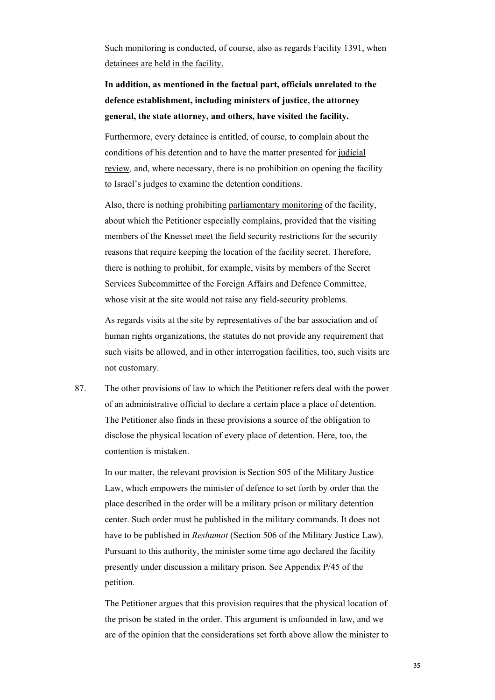Such monitoring is conducted, of course, also as regards Facility 1391, when detainees are held in the facility.

**In addition, as mentioned in the factual part, officials unrelated to the defence establishment, including ministers of justice, the attorney general, the state attorney, and others, have visited the facility.** 

Furthermore, every detainee is entitled, of course, to complain about the conditions of his detention and to have the matter presented for judicial review*,* and, where necessary, there is no prohibition on opening the facility to Israel's judges to examine the detention conditions.

Also, there is nothing prohibiting parliamentary monitoring of the facility, about which the Petitioner especially complains, provided that the visiting members of the Knesset meet the field security restrictions for the security reasons that require keeping the location of the facility secret. Therefore, there is nothing to prohibit, for example, visits by members of the Secret Services Subcommittee of the Foreign Affairs and Defence Committee, whose visit at the site would not raise any field-security problems.

As regards visits at the site by representatives of the bar association and of human rights organizations, the statutes do not provide any requirement that such visits be allowed, and in other interrogation facilities, too, such visits are not customary.

87. The other provisions of law to which the Petitioner refers deal with the power of an administrative official to declare a certain place a place of detention. The Petitioner also finds in these provisions a source of the obligation to disclose the physical location of every place of detention. Here, too, the contention is mistaken.

In our matter, the relevant provision is Section 505 of the Military Justice Law, which empowers the minister of defence to set forth by order that the place described in the order will be a military prison or military detention center. Such order must be published in the military commands. It does not have to be published in *Reshumot* (Section 506 of the Military Justice Law). Pursuant to this authority, the minister some time ago declared the facility presently under discussion a military prison. See Appendix P/45 of the petition.

The Petitioner argues that this provision requires that the physical location of the prison be stated in the order. This argument is unfounded in law, and we are of the opinion that the considerations set forth above allow the minister to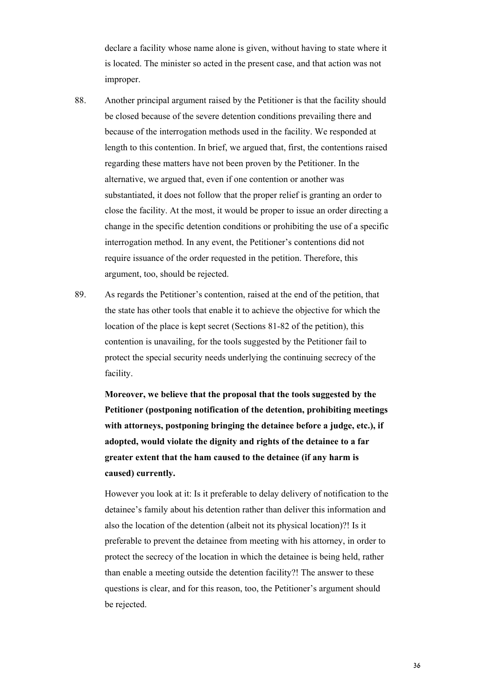declare a facility whose name alone is given, without having to state where it is located. The minister so acted in the present case, and that action was not improper.

- 88. Another principal argument raised by the Petitioner is that the facility should be closed because of the severe detention conditions prevailing there and because of the interrogation methods used in the facility. We responded at length to this contention. In brief, we argued that, first, the contentions raised regarding these matters have not been proven by the Petitioner. In the alternative, we argued that, even if one contention or another was substantiated, it does not follow that the proper relief is granting an order to close the facility. At the most, it would be proper to issue an order directing a change in the specific detention conditions or prohibiting the use of a specific interrogation method. In any event, the Petitioner's contentions did not require issuance of the order requested in the petition. Therefore, this argument, too, should be rejected.
- 89. As regards the Petitioner's contention, raised at the end of the petition, that the state has other tools that enable it to achieve the objective for which the location of the place is kept secret (Sections 81-82 of the petition), this contention is unavailing, for the tools suggested by the Petitioner fail to protect the special security needs underlying the continuing secrecy of the facility.

**Moreover, we believe that the proposal that the tools suggested by the Petitioner (postponing notification of the detention, prohibiting meetings with attorneys, postponing bringing the detainee before a judge, etc.), if adopted, would violate the dignity and rights of the detainee to a far greater extent that the ham caused to the detainee (if any harm is caused) currently.** 

However you look at it: Is it preferable to delay delivery of notification to the detainee's family about his detention rather than deliver this information and also the location of the detention (albeit not its physical location)?! Is it preferable to prevent the detainee from meeting with his attorney, in order to protect the secrecy of the location in which the detainee is being held, rather than enable a meeting outside the detention facility?! The answer to these questions is clear, and for this reason, too, the Petitioner's argument should be rejected.